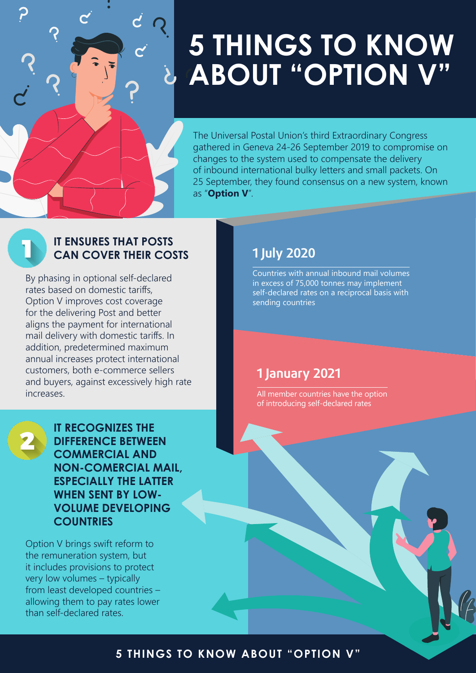

## **5 THINGS TO KNOW ABOUT "OPTION V"**

The Universal Postal Union's third Extraordinary Congress gathered in Geneva 24-26 September 2019 to compromise on changes to the system used to compensate the delivery of inbound international bulky letters and small packets. On 25 September, they found consensus on a new system, known as "**Option V**".

#### **IT ENSURES THAT POSTS CAN COVER THEIR COSTS**

By phasing in optional self-declared rates based on domestic tariffs, Option V improves cost coverage for the delivering Post and better aligns the payment for international mail delivery with domestic tariffs. In addition, predetermined maximum annual increases protect international customers, both e-commerce sellers and buyers, against excessively high rate increases.



**IT RECOGNIZES THE DIFFERENCE BETWEEN COMMERCIAL AND NON-COMERCIAL MAIL, ESPECIALLY THE LATTER WHEN SENT BY LOW-VOLUME DEVELOPING COUNTRIES**

Option V brings swift reform to the remuneration system, but it includes provisions to protect very low volumes – typically from least developed countries – allowing them to pay rates lower than self-declared rates.

#### **1 July 2020**

Countries with annual inbound mail volumes in excess of 75,000 tonnes may implement self-declared rates on a reciprocal basis with sending countries

#### **1 January 2021**

All member countries have the option of introducing self-declared rates

#### **5 THINGS TO KNOW ABOUT "OPTION V"**